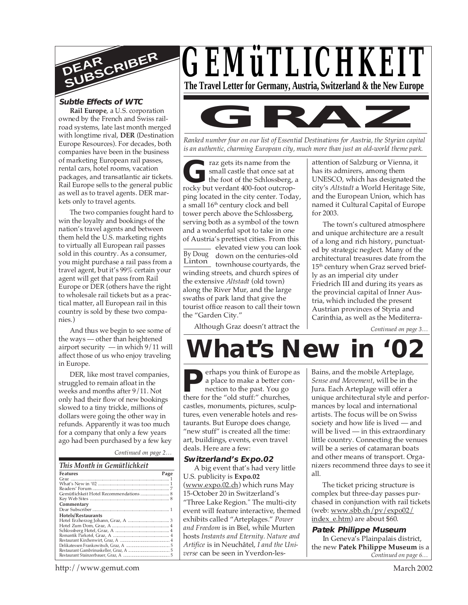

# **Subtle Effects of WTC**

**Rail Europe**, a U.S. corporation owned by the French and Swiss railroad systems, late last month merged with longtime rival, **DER** (Destination Europe Resources). For decades, both companies have been in the business of marketing European rail passes, rental cars, hotel rooms, vacation packages, and transatlantic air tickets. Rail Europe sells to the general public as well as to travel agents. DER markets only to travel agents.

The two companies fought hard to win the loyalty and bookings of the nation's travel agents and between them held the U.S. marketing rights to virtually all European rail passes sold in this country. As a consumer, you might purchase a rail pass from a travel agent, but it's 99% certain your agent will get that pass from Rail Europe or DER (others have the right to wholesale rail tickets but as a practical matter, all European rail in this country is sold by these two companies.)

And thus we begin to see some of the ways — other than heightened airport security — in which 9/11 will affect those of us who enjoy traveling in Europe.

DER, like most travel companies, struggled to remain afloat in the weeks and months after 9/11. Not only had their flow of new bookings slowed to a tiny trickle, millions of dollars were going the other way in refunds. Apparently it was too much for a company that only a few years ago had been purchased by a few key

### *Continued on page 2…*

| This Month in Gemütlichkeit            |      |
|----------------------------------------|------|
| <b>Features</b>                        | Page |
|                                        |      |
|                                        |      |
|                                        |      |
| Gemütlichkeit Hotel Recommendations  8 |      |
|                                        |      |
| Commentary                             |      |
|                                        |      |
| Hotels/Restaurants                     |      |
|                                        |      |
|                                        |      |
|                                        |      |
|                                        |      |
|                                        |      |
|                                        |      |
|                                        |      |
|                                        |      |





*Ranked number four on our list of Essential Destinations for Austria, the Styrian capital is an authentic, charming European city, much more than just an old-world theme park.*

raz gets its name from the<br>
small castle that once sat at<br>
the foot of the Schlossberg,<br>
rocky but verdant 400-foot outcropraz gets its name from the small castle that once sat at the foot of the Schlossberg, a ping located in the city center. Today, a small 16<sup>th</sup> century clock and bell tower perch above the Schlossberg, serving both as a symbol of the town and a wonderful spot to take in one of Austria's prettiest cities. From this

By Doug down on the centuries-old Linton - elevated view you can look townhouse courtyards, the winding streets, and church spires of the extensive *Altstadt* (old town) along the River Mur, and the large swaths of park land that give the tourist office reason to call their town the "Garden City."

Although Graz doesn't attract the

attention of Salzburg or Vienna, it has its admirers, among them UNESCO, which has designated the city's *Altstadt* a World Heritage Site, and the European Union, which has named it Cultural Capital of Europe for 2003.

The town's cultured atmosphere and unique architecture are a result of a long and rich history, punctuated by strategic neglect. Many of the architectural treasures date from the 15<sup>th</sup> century when Graz served briefly as an imperial city under Friedrich III and during its years as the provincial capital of Inner Austria, which included the present Austrian provinces of Styria and Carinthia, as well as the Mediterra-

*Continued on page 3…*

# **What's New in**

**P P e** a place to make a better connection to the past. You go<br>
there for the "old stuff:" churches, erhaps you think of Europe as a place to make a better connection to the past. You go castles, monuments, pictures, sculptures, even venerable hotels and restaurants. But Europe does change, "new stuff" is created all the time: art, buildings, events, even travel deals. Here are a few:

#### **Switzerland's Expo.02**

A big event that's had very little U.S. publicity is **Expo.02** (www.expo.02.ch) which runs May 15-October 20 in Switzerland's "Three Lake Region." The multi-city event will feature interactive, themed exhibits called "Arteplages." *Power and Freedom* is in Biel, while Murten hosts *Instants and Eternity. Nature and Artifice* is in Neuchâtel, *I and the Universe* can be seen in Yverdon-lesBains, and the mobile Arteplage, *Sense and Movement*, will be in the Jura. Each Arteplage will offer a unique architectural style and performances by local and international artists. The focus will be on Swiss society and how life is lived — and will be lived — in this extraordinary little country. Connecting the venues will be a series of catamaran boats and other means of transport. Organizers recommend three days to see it all.

The ticket pricing structure is complex but three-day passes purchased in conjunction with rail tickets (web: www.sbb.ch/pv/expo02/ index e.htm) are about \$60.

*Continued on page 6…* **Patek Philippe Museum** In Geneva's Plainpalais district, the new **Patek Philippe Museum** is a

http://www.gemut.com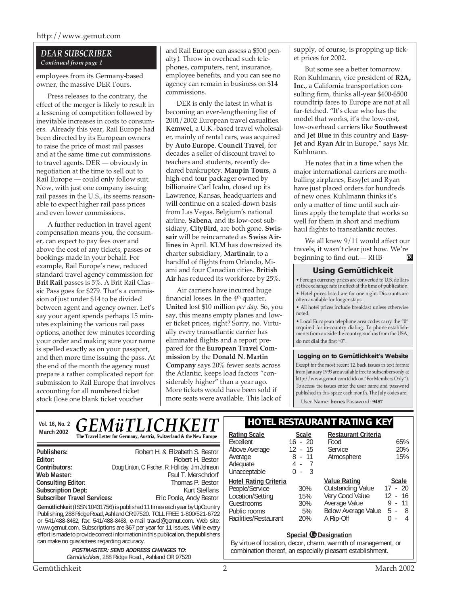#### *DEAR SUBSCRIBER Continued from page 1*

employees from its Germany-based owner, the massive DER Tours.

Press releases to the contrary, the effect of the merger is likely to result in a lessening of competition followed by inevitable increases in costs to consumers. Already this year, Rail Europe had been directed by its European owners to raise the price of most rail passes and at the same time cut commissions to travel agents. DER — obviously in negotiation at the time to sell out to Rail Europe — could only follow suit. Now, with just one company issuing rail passes in the U.S., its seems reasonable to expect higher rail pass prices and even lower commissions.

A further reduction in travel agent compensation means you, the consumer, can expect to pay fees over and above the cost of any tickets, passes or bookings made in your behalf. For example, Rail Europe's new, reduced standard travel agency commission for **Brit Rail** passes is 5%. A Brit Rail Classic Pass goes for \$279. That's a commission of just under \$14 to be divided between agent and agency owner. Let's say your agent spends perhaps 15 minutes explaining the various rail pass options, another few minutes recording your order and making sure your name is spelled exactly as on your passport, and then more time issuing the pass. At the end of the month the agency must prepare a rather complicated report for submission to Rail Europe that involves accounting for all numbered ticket stock (lose one blank ticket voucher

and Rail Europe can assess a \$500 penalty). Throw in overhead such telephones, computers, rent, insurance, employee benefits, and you can see no agency can remain in business on \$14 commissions.

DER is only the latest in what is becoming an ever-lengthening list of 2001/2002 European travel casualties. **Kemwel**, a U.K.-based travel wholesaler, mainly of rental cars, was acquired by **Auto Europe**. **Council Travel**, for decades a seller of discount travel to teachers and students, recently declared bankruptcy. **Maupin Tours**, a high-end tour packager owned by billionaire Carl Icahn, closed up its Lawrence, Kansas, headquarters and will continue on a scaled-down basis from Las Vegas. Belgium's national airline, **Sabena**, and its low-cost subsidiary, **CityBird**, are both gone. **Swissair** will be reincarnated as **Swiss Airlines** in April. **KLM** has downsized its charter subsidiary, **Martinair**, to a handful of flights from Orlando, Miami and four Canadian cities. **British Air** has reduced its workforce by 25%.

Air carriers have incurred huge financial losses. In the  $4<sup>th</sup>$  quarter, **United** lost \$10 million *per day*. So, you say, this means empty planes and lower ticket prices, right? Sorry, no. Virtually every transatlantic carrier has eliminated flights and a report prepared for the **European Travel Commission** by the **Donald N. Martin Company** says 20% fewer seats across the Atlantic, keeps load factors "considerably higher" than a year ago. More tickets would have been sold if more seats were available. This lack of

supply, of course, is propping up ticket prices for 2002.

But some see a better tomorrow. Ron Kuhlmann, vice president of **R2A, Inc.**, a California transportation consulting firm, thinks all-year \$400-\$500 roundtrip fares to Europe are not at all far-fetched. "It's clear who has the model that works, it's the low-cost, low-overhead carriers like **Southwest** and **Jet Blue** in this country and **Easy-Jet** and **Ryan Air** in Europe," says Mr. Kuhlmann.

He notes that in a time when the major international carriers are mothballing airplanes, EasyJet and Ryan have just placed orders for hundreds of new ones. Kuhlmann thinks it's only a matter of time until such airlines apply the template that works so well for them in short and medium haul flights to transatlantic routes.

We all knew 9/11 would affect our travels, it wasn't clear just how. We're beginning to find out.— RHBM

#### **Using Gemütlichkeit**

• Foreign currency prices are converted to U.S. dollars at the exchange rate in effect at the time of publication. • Hotel prices listed are for one night. Discounts are often available for longer stays.

• All hotel prices include breakfast unless otherwise noted.

• Local European telephone area codes carry the "0" required for in-country dialing. To phone establishments from outside the country, such as from the USA, do not dial the first "0".

**Logging on to Gemütlichkeit's Website**

Except for the most recent 12, back issues in text format from January 1993 are available free to subscribers only at http://www.gemut.com (click on "For Members Only"). To access the issues enter the user name and password published in this space each month. The July codes are:

User Name: **bones** Password: **9487**

| Vol. 16, No. 2 |  |  |  |
|----------------|--|--|--|
| March 2002     |  |  |  |

# March 2002 **CELITE WE ELITE CELITE LATE AND AREA**<br>The Travel Letter for Germany, Austria, Switzerland & the New Europe **Rating Scale** Scale *GEMüTLICHKEIT*

**Gemütlichkeit** (ISSN 10431756) is published 11 times each year by UpCountry Publishing, 288 Ridge Road, Ashland OR 97520. TOLL FREE: 1-800/521-6722 or 541/488-8462, fax: 541/488-8468, e-mail travel@gemut.com. Web site: www.gemut.com. Subscriptions are \$67 per year for 11 issues. While every effort is made to provide correct information in this publication, the publishers **Publishers:** Robert H. & Elizabeth S. Bestor **Editor:** Robert H. Bestor<br>**Contributors:** Doug Linton. C. Fischer. R. Holliday. Jim Johnson **Contributors:** Doug Linton, C. Fischer, R. Holliday, Jim Johnson **Web Master:** Paul T. Merschdorf Consulting Editor: **Paul T. Merschdorf** Consulting Editor: **Consulting Editor:** Thomas P. Bestor<br> **Subscription Dept:** Thomas P. Bestor<br>
Kurt Steffans **Subscription Dept: Subscriber Travel Services:** Eric Poole, Andy Bestor

> **POSTMASTER: SEND ADDRESS CHANGES TO:** Gemütlichkeit, 288 Ridge Road., Ashland OR 97520

# **Vol. 16, No. 2 HOTEL RESTAURANT RATING KEY**

| <b>Rating Scale</b><br>Excellent<br>Above Average<br>Average<br>Adequate<br>Unacceptable                                  | <b>Scale</b><br>$16 - 20$<br>$12 - 15$<br>$8 - 11$<br>4 - 7<br>- 3<br>0 - | <b>Restaurant Criteria</b><br>Food<br>Service<br>Atmosphere                                                             | 65%<br>20%<br>15%                                                                                 |
|---------------------------------------------------------------------------------------------------------------------------|---------------------------------------------------------------------------|-------------------------------------------------------------------------------------------------------------------------|---------------------------------------------------------------------------------------------------|
| <b>Hotel Rating Criteria</b><br>People/Service<br>Location/Setting<br>Guestrooms<br>Public rooms<br>Facilities/Restaurant | 30%<br>15%<br>30%<br>5%<br>20%                                            | <b>Value Rating</b><br><b>Outstanding Value</b><br>Very Good Value<br>Average Value<br>Below Average Value<br>A Rip-Off | <b>Scale</b><br>$17 - 20$<br>$12 - 16$<br>$9 - 11$<br>$5 -$<br>8 <sup>8</sup><br>4<br>0<br>$\sim$ |

#### **Special G** Designation

By virtue of location, decor, charm, warmth of management, or combination thereof, an especially pleasant establishment.

can make no guarantees regarding accuracy.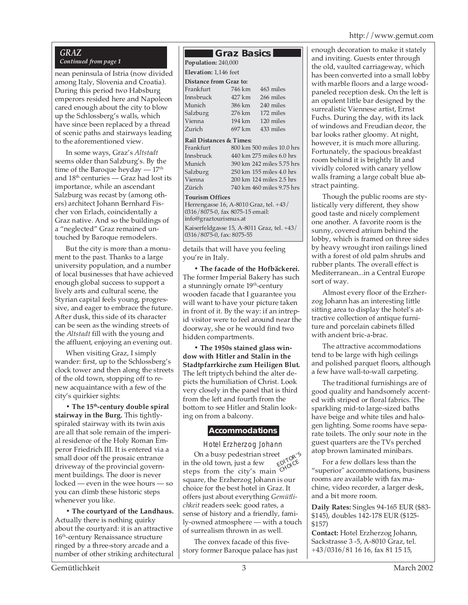# http://www.gemut.com

# *GRAZ*

# *Continued from page 1*

nean peninsula of Istria (now divided among Italy, Slovenia and Croatia). During this period two Habsburg emperors resided here and Napoleon cared enough about the city to blow up the Schlossberg's walls, which have since been replaced by a thread of scenic paths and stairways leading to the aforementioned view.

In some ways, Graz's *Altstadt* seems older than Salzburg's. By the time of the Baroque heyday  $-17<sup>th</sup>$ and  $18<sup>th</sup>$  centuries — Graz had lost its importance, while an ascendant Salzburg was recast by (among others) architect Johann Bernhard Fischer von Erlach, coincidentally a Graz native. And so the buildings of a "neglected" Graz remained untouched by Baroque remodelers.

But the city is more than a monument to the past. Thanks to a large university population, and a number of local businesses that have achieved enough global success to support a lively arts and cultural scene, the Styrian capital feels young, progressive, and eager to embrace the future. After dusk, this side of its character can be seen as the winding streets of the *Altstadt* fill with the young and the affluent, enjoying an evening out.

When visiting Graz, I simply wander: first, up to the Schlossberg's clock tower and then along the streets of the old town, stopping off to renew acquaintance with a few of the city's quirkier sights:

**• The 15th-century double spiral stairway in the Burg.** This tightlyspiraled stairway with its twin axis are all that sole remain of the imperial residence of the Holy Roman Emperor Friedrich III. It is entered via a small door off the prosaic entrance driveway of the provincial government buildings. The door is never locked — even in the wee hours — so you can climb these historic steps whenever you like.

**• The courtyard of the Landhaus.** Actually there is nothing quirky about the courtyard: it is an attractive 16<sup>th</sup>-century Renaissance structure ringed by a three-story arcade and a number of other striking architectural

# **Graz Basics**

**Population:** 240,000

# **Elevation:** 1,146 feet

| <b>Distance from Graz to:</b>      |        |           |  |  |
|------------------------------------|--------|-----------|--|--|
| Frankfurt                          | 746 km | 463 miles |  |  |
| Innsbruck                          | 427 km | 266 miles |  |  |
| Munich                             | 386 km | 240 miles |  |  |
| Salzburg                           | 276 km | 172 miles |  |  |
| Vienna                             | 194 km | 120 miles |  |  |
| Zurich                             | 697 km | 433 miles |  |  |
| <b>Rail Distances &amp; Times:</b> |        |           |  |  |

| Frankfurt | 800 km 500 miles 10.0 hrs |
|-----------|---------------------------|
| Innsbruck | 440 km 275 miles 6.0 hrs  |
| Munich    | 390 km 242 miles 5.75 hrs |
| Salzburg  | 250 km 155 miles 4.0 hrs  |
| Vienna    | 200 km 124 miles 2.5 hrs  |
| Zürich    | 740 km 460 miles 9.75 hrs |
|           |                           |

#### **Tourism Offices**

Herrengasse 16, A-8010 Graz, tel. +43/ 0316/8075-0, fax 8075-15 email: info@graztourismus.at

Kaiserfeldgasse 15, A-8011 Graz, tel. +43/ 0316/8075-0, fax: 8075-55

details that will have you feeling you're in Italy.

**• The facade of the Hofbäckerei.** The former Imperial Bakery has such a stunningly ornate 19<sup>th</sup>-century wooden facade that I guarantee you will want to have your picture taken in front of it. By the way: if an intrepid visitor were to feel around near the doorway, she or he would find two hidden compartments.

**• The 1950s stained glass window with Hitler and Stalin in the Stadtpfarrkirche zum Heiligen Blut.** The left triptych behind the alter depicts the humiliation of Christ. Look very closely in the panel that is third from the left and fourth from the bottom to see Hitler and Stalin looking on from a balcony.

# **Accommodations**

EDITOR'<sup>S</sup> in the old town, just a few  $\mathbb{C}^{\text{N}}$ Hotel Erzherzog Johann On a busy pedestrian street steps from the city's main square, the Erzherzog Johann is our choice for the best hotel in Graz. It offers just about everything *Gemütlichkeit* readers seek: good rates, a sense of history and a friendly, family-owned atmosphere — with a touch of surrealism thrown in as well.

The convex facade of this fivestory former Baroque palace has just

enough decoration to make it stately and inviting. Guests enter through the old, vaulted carriageway, which has been converted into a small lobby with marble floors and a large woodpaneled reception desk. On the left is an opulent little bar designed by the surrealistic Viennese artist, Ernst Fuchs. During the day, with its lack of windows and Freudian decor, the bar looks rather gloomy. At night, however, it is much more alluring. Fortunately, the spacious breakfast room behind it is brightly lit and vividly colored with canary yellow walls framing a large cobalt blue abstract painting.

Though the public rooms are stylistically very different, they show good taste and nicely complement one another. A favorite room is the sunny, covered atrium behind the lobby, which is framed on three sides by heavy wrought iron railings lined with a forest of old palm shrubs and rubber plants. The overall effect is Mediterranean...in a Central Europe sort of way.

Almost every floor of the Erzherzog Johann has an interesting little sitting area to display the hotel's attractive collection of antique furniture and porcelain cabinets filled with ancient bric-a-brac.

The attractive accommodations tend to be large with high ceilings and polished parquet floors, although a few have wall-to-wall carpeting.

The traditional furnishings are of good quality and handsomely accented with striped or floral fabrics. The sparkling mid-to large-sized baths have beige and white tiles and halogen lighting. Some rooms have separate toilets. The only sour note in the guest quarters are the TVs perched atop brown laminated minibars.

For a few dollars less than the "superior" accommodations, business rooms are available with fax machine, video recorder, a larger desk, and a bit more room.

**Daily Rates:** Singles 94-165 EUR (\$83- \$145), doubles 142-178 EUR (\$125- \$157)

**Contact:** Hotel Erzherzog Johann, Sackstrasse 3 -5, A-8010 Graz, tel. +43/0316/81 16 16, fax 81 15 15,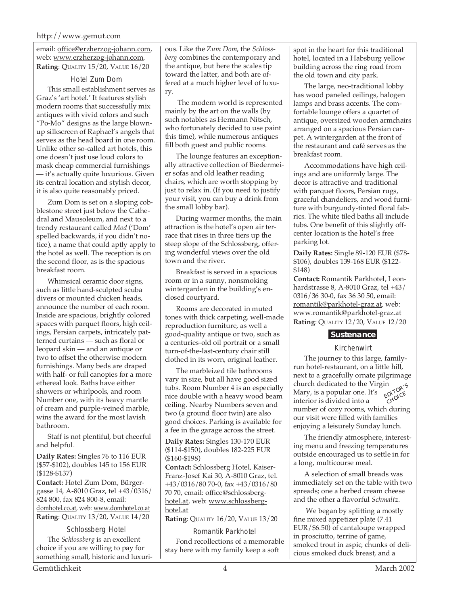email: office@erzherzog-johann.com, web: www.erzherzog-johann.com. **Rating**: QUALITY 15/20, VALUE 16/20

#### Hotel Zum Dom

This small establishment serves as Graz's 'art hotel.' It features stylish modern rooms that successfully mix antiques with vivid colors and such "Po-Mo" designs as the large blownup silkscreen of Raphael's angels that serves as the head board in one room. Unlike other so-called art hotels, this one doesn't just use loud colors to mask cheap commercial furnishings — it's actually quite luxurious. Given its central location and stylish decor, it is also quite reasonably priced.

Zum Dom is set on a sloping cobblestone street just below the Cathedral and Mausoleum, and next to a trendy restaurant called *Mod* ('Dom' spelled backwards, if you didn't notice), a name that could aptly apply to the hotel as well. The reception is on the second floor, as is the spacious breakfast room.

Whimsical ceramic door signs, such as little hand-sculpted scuba divers or mounted chicken heads, announce the number of each room. Inside are spacious, brightly colored spaces with parquet floors, high ceilings, Persian carpets, intricately patterned curtains — such as floral or leopard skin — and an antique or two to offset the otherwise modern furnishings. Many beds are draped with half- or full canopies for a more ethereal look. Baths have either showers or whirlpools, and room Number one, with its heavy mantle of cream and purple-veined marble, wins the award for the most lavish bathroom.

Staff is not plentiful, but cheerful and helpful.

**Daily Rates:** Singles 76 to 116 EUR (\$57-\$102), doubles 145 to 156 EUR (\$128-\$137)

**Contact:** Hotel Zum Dom, Bürgergasse 14, A-8010 Graz, tel +43/0316/ 824 800, fax 824 800-8, email: domhotel.co.at, web: www.domhotel.co.at **Rating**: QUALITY 13/20, VALUE 14/20

#### Schlossberg Hotel

The *Schlossberg* is an excellent choice if you are willing to pay for something small, historic and luxurious. Like the *Zum Dom*, the *Schlossberg* combines the contemporary and the antique, but here the scales tip toward the latter, and both are offered at a much higher level of luxury.

 The modern world is represented mainly by the art on the walls (by such notables as Hermann Nitsch, who fortunately decided to use paint this time), while numerous antiques fill both guest and public rooms.

The lounge features an exceptionally attractive collection of Biedermeier sofas and old leather reading chairs, which are worth stopping by just to relax in. (If you need to justify your visit, you can buy a drink from the small lobby bar).

During warmer months, the main attraction is the hotel's open air terrace that rises in three tiers up the steep slope of the Schlossberg, offering wonderful views over the old town and the river.

Breakfast is served in a spacious room or in a sunny, nonsmoking wintergarden in the building's enclosed courtyard.

Rooms are decorated in muted tones with thick carpeting, well-made reproduction furniture, as well a good-quality antique or two, such as a centuries-old oil portrait or a small turn-of-the-last-century chair still clothed in its worn, original leather.

The marbleized tile bathrooms vary in size, but all have good sized tubs. Room Number 4 is an especially nice double with a heavy wood beam ceiling. Nearby Numbers seven and two (a ground floor twin) are also good choices. Parking is available for a fee in the garage across the street.

**Daily Rates:** Singles 130-170 EUR (\$114-\$150), doubles 182-225 EUR (\$160-\$198)

**Contact:** Schlossberg Hotel, Kaiser-Franz-Josef Kai 30, A-8010 Graz, tel. +43/0316/80 70-0, fax +43/0316/80 70 70, email: office@schlossberghotel.at, web: www.schlossberghotel.at

**Rating**: QUALITY 16/20, VALUE 13/20

Romantik Parkhotel Fond recollections of a memorable stay here with my family keep a soft

spot in the heart for this traditional hotel, located in a Habsburg yellow building across the ring road from the old town and city park.

The large, neo-traditional lobby has wood paneled ceilings, halogen lamps and brass accents. The comfortable lounge offers a quartet of antique, oversized wooden armchairs arranged on a spacious Persian carpet. A wintergarden at the front of the restaurant and café serves as the breakfast room.

Accommodations have high ceilings and are uniformly large. The decor is attractive and traditional with parquet floors, Persian rugs, graceful chandeliers, and wood furniture with burgundy-tinted floral fabrics. The white tiled baths all include tubs. One benefit of this slightly offcenter location is the hotel's free parking lot.

**Daily Rates:** Single 89-120 EUR (\$78- \$106), doubles 139-168 EUR (\$122- \$148)

**Contact:** Romantik Parkhotel, Leonhardstrasse 8, A-8010 Graz, tel +43/ 0316/36 30-0, fax 36 30 50, email: romantik@parkhotel-graz.at, web: www.romantik@parkhotel-graz.at **Rating**: QUALITY 12/20, VALUE 12/20

#### **Sustenance**

#### Kirchenwirt

The journey to this large, familyrun hotel-restaurant, on a little hill, next to a gracefully ornate pilgrimage church dedicated to the Virgin Mary, is a popular one. It's interior is divided into a number of cozy rooms, which during our visit were filled with families enjoying a leisurely Sunday lunch. **EDITOR'S**<br>EDITOR'S

The friendly atmosphere, interesting menu and freezing temperatures outside encouraged us to settle in for a long, multicourse meal.

A selection of small breads was immediately set on the table with two spreads; one a herbed cream cheese and the other a flavorful *Schmaltz*.

 We began by splitting a mostly fine mixed appetizer plate (7.41 EUR/\$6.50) of cantaloupe wrapped in prosciutto, terrine of game, smoked trout in aspic, chunks of delicious smoked duck breast, and a

Gemütlichkeit 4 March 2002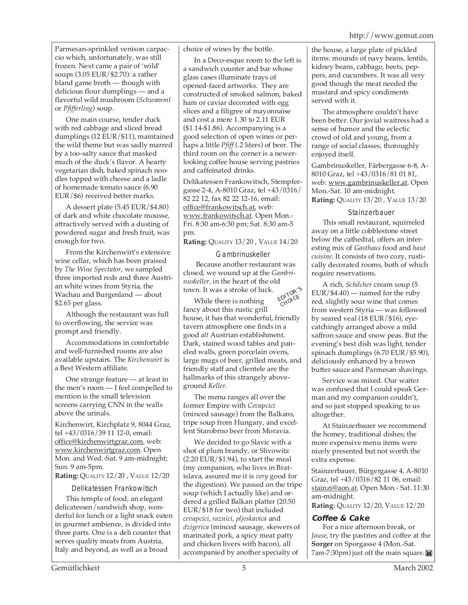Parmesan-sprinkled venison carpaccio which, unfortunately, was still frozen. Next came a pair of 'wild' soups (3.05 EUR/\$2.70): a rather bland game broth — though with delicious flour dumplings — and a flavorful wild mushroom (*Schwamml* or *Pfifferling*) soup.

One main course, tender duck with red cabbage and sliced bread dumplings (12 EUR/\$11), maintained the wild theme but was sadly marred by a too-salty sauce that masked much of the duck's flavor. A hearty vegetarian dish, baked spinach noodles topped with cheese and a ladle of homemade tomato sauce (6.90 EUR/\$6) received better marks.

A dessert plate (5.45 EUR/\$4.80) of dark and white chocolate mousse, attractively served with a dusting of powdered sugar and fresh fruit, was enough for two.

From the Kirchenwirt's extensive wine cellar, which has been praised by *The Wine Spectator*, we sampled three imported reds and three Austrian white wines from Styria, the Wachau and Burgenland — about \$2.65 per glass.

Although the restaurant was full to overflowing, the service was prompt and friendly.

Accommodations in comfortable and well-furnished rooms are also available upstairs. The *Kirchenwirt* is a Best Western affiliate.

One strange feature — at least in the men's room — I feel compelled to mention is the small television screens carrying CNN in the walls above the urinals.

Kirchenwirt, Kirchplatz 9, 8044 Graz, tel +43/0316/39 11 12-0, email: office@kirchenwirtgraz.com, web: www.kirchenwirtgraz.com. Open Mon. and Wed.-Sat. 9 am-midnight; Sun. 9 am-5pm.

**Rating:** QUALITY 12/20 , VALUE 12/20

Delikatessen Frankowitsch

This temple of food, an elegant delicatessen/sandwich shop, wonderful for lunch or a light snack eaten in gourmet ambience, is divided into three parts. One is a deli counter that serves quality meats from Austria, Italy and beyond, as well as a broad

choice of wines by the bottle.

In a Deco-esque room to the left is a sandwich counter and bar whose glass cases illuminate trays of opened-faced artworks. They are constructed of smoked salmon, baked ham or caviar decorated with egg slices and a filigree of mayonnaise and cost a mere 1.30 to 2.11 EUR (\$1.14-\$1.86). Accompanying is a good selection of open wines or perhaps a little *Pfiff* (.2 liters) of beer. The third room on the corner is a newerlooking coffee house serving pastries and caffeinated drinks.

Delikatessen Frankowitsch, Stempfergasse 2-4, A-8010 Graz, tel +43/0316/ 82 22 12, fax 82 22 12-16, email: office@frankowitsch.at, web: www.frankowitsch.at. Open Mon.- Fri. 8:30 am-6:30 pm; Sat. 8:30 am-5 pm.

**Rating:** QUALITY 13/20 , VALUE 14/20

## Gambrinuskeller

 Because another restaurant was closed, we wound up at the *Gambrinuskeller,* in the heart of the old town. It was a stroke of luck. EDITOR'<sup>S</sup>

While there is nothing fancy about this rustic grill house, it has that wonderful, friendly tavern atmosphere one finds in a good *alt* Austrian establishment. Dark, stained wood tables and paneled walls, green porcelain ovens, large mugs of beer, grilled meats, and friendly staff and clientele are the hallmarks of this strangely aboveground *Keller*. CHOICE

The menu ranges all over the former Empire with *Cevapcici* (minced sausage) from the Balkans, tripe soup from Hungary, and excellent Starobrno beer from Moravia.

We decided to go Slavic with a shot of plum brandy, or Slivowitz  $(2.20$  EUR/\$1.94), to start the meal (my companion, who lives in Bratislava, assured me it is *very* good for the digestion). We passed on the tripe soup (which I actually like) and ordered a grilled Balkan platter (20.50 EUR/\$18 for two) that included *cevapcici*, *raznici*, *pljeskavica* and *dzigerica* (minced sausage, skewers of marinated pork, a spicy meat patty and chicken livers with bacon), all accompanied by another specialty of

the house, a large plate of pickled items: mounds of navy beans, lentils, kidney beans, cabbage, beets, peppers, and cucumbers. It was all very good though the meat needed the mustard and spicy condiments served with it.

The atmosphere couldn't have been better. Our jovial waitress had a sense of humor and the eclectic crowd of old and young, from a range of social classes, thoroughly enjoyed itself.

Gambrinuskeller, Färbergasse 6-8, A-8010 Graz, tel +43/0316/81 01 81, web: www.gambrinuskeller.at. Open Mon.-Sat. 10 am-midnight. **Rating:** QUALITY 13/20 , VALUE 13/20

#### Stainzerbauer

This small restaurant, squirreled away on a little cobblestone street below the cathedral, offers an interesting mix of *Gasthaus* food and *haut cuisine*. It consists of two cozy, rustically decorated rooms, both of which require reservations.

A rich, *Schilcher* cream soup (5 EUR/\$4.40) — named for the ruby red, slightly sour wine that comes from western Styria — was followed by seared veal (18 EUR/\$16), eyecatchingly arranged above a mild saffron sauce and snow peas. But the evening's best dish was light, tender spinach dumplings (6.70 EUR/\$5.90), deliciously enhanced by a brown butter sauce and Parmesan shavings.

Service was mixed. Our waiter was confused that I could speak German and my companion couldn't, and so just stopped speaking to us altogether.

At Stainzerbauer we recommend the homey, traditional dishes; the more expensive menu items were nicely presented but not worth the extra expense.

Stainzerbauer, Bürgergasse 4, A-8010 Graz, tel +43/0316/82 11 06, email: stainzi@aon.at. Open Mon.- Sat. 11:30 am-midnight.

**Rating**: QUALITY 12/20, VALUE 12/20

# **Coffee & Cake**

For a nice afternoon break, or *Jause*, try the pastries and coffee at the **Sorger** on Sporgasse 4 (Mon.-Sat. 7am-7:30pm) just off the main square.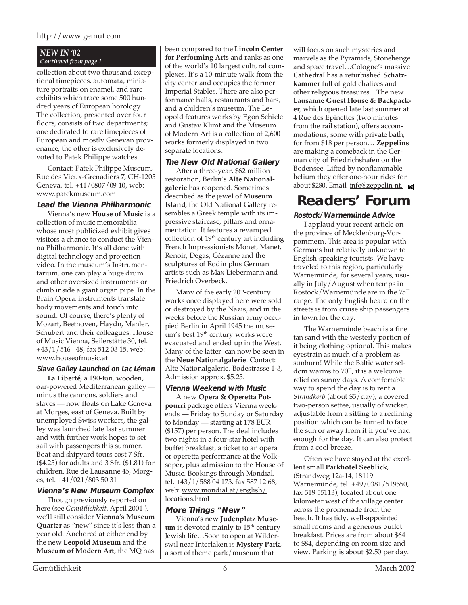#### http://www.gemut.com

#### *NEW IN '02 Continued from page 1*

collection about two thousand exceptional timepieces, automata, miniature portraits on enamel, and rare exhibits which trace some 500 hundred years of European horology. The collection, presented over four floors, consists of two departments; one dedicated to rare timepieces of European and mostly Genevan provenance, the other is exclusively devoted to Patek Philippe watches.

Contact: Patek Philippe Museum, Rue des Vieux-Grenadiers 7, CH-1205 Geneva, tel. +41/0807/09 10, web: www.patekmuseum.com

#### **Lead the Vienna Philharmonic**

Vienna's new **House of Music** is a collection of music memorabilia whose most publicized exhibit gives visitors a chance to conduct the Vienna Philharmonic. It's all done with digital technology and projection video. In the museum's Instrumentarium, one can play a huge drum and other oversized instruments or climb inside a giant organ pipe. In the Brain Opera, instruments translate body movements and touch into sound. Of course, there's plenty of Mozart, Beethoven, Haydn, Mahler, Schubert and their colleagues. House of Music Vienna, Seilerstätte 30, tel. +43/1/516 48, fax 512 03 15, web: www.houseofmusic.at

#### **Slave Galley Launched on Lac Léman**

**La Liberté**, a 190-ton, wooden, oar-powered Mediterranean galley minus the cannons, soldiers and slaves — now floats on Lake Geneva at Morges, east of Geneva. Built by unemployed Swiss workers, the galley was launched late last summer and with further work hopes to set sail with passengers this summer. Boat and shipyard tours cost 7 Sfr. (\$4.25) for adults and 3 Sfr. (\$1.81) for children. Rue de Lausanne 45, Morges, tel. +41/021/803 50 31

#### **Vienna's New Museum Complex**

Though previously reported on here (see *Gemütlichkeit*, April 2001 ), we'll still consider **Vienna's Museum Quarter** as "new" since it's less than a year old. Anchored at either end by the new **Leopold Museum** and the **Museum of Modern Art**, the MQ has

been compared to the **Lincoln Center for Performing Arts** and ranks as one of the world's 10 largest cultural complexes. It's a 10-minute walk from the city center and occupies the former Imperial Stables. There are also performance halls, restaurants and bars, and a children's museum. The Leopold features works by Egon Schiele and Gustav Klimt and the Museum of Modern Art is a collection of 2,600 works formerly displayed in two separate locations.

#### **The New Old National Gallery**

After a three-year, \$62 million restoration, Berlin's **Alte Nationalgalerie** has reopened. Sometimes described as the jewel of **Museum Island**, the Old National Gallery resembles a Greek temple with its impressive staircase, pillars and ornamentation. It features a revamped collection of 19<sup>th</sup> century art including French Impressionists Monet, Manet, Renoir, Degas, Cézanne and the sculptures of Rodin plus German artists such as Max Liebermann and Friedrich Overbeck.

Many of the early  $20<sup>th</sup>$ -century works once displayed here were sold or destroyed by the Nazis, and in the weeks before the Russian army occupied Berlin in April 1945 the museum's best 19<sup>th</sup> century works were evacuated and ended up in the West. Many of the latter can now be seen in the **Neue Nationalgalerie**. Contact: Alte Nationalgalerie, Bodestrasse 1-3, Admission approx. \$5.25.

#### **Vienna Weekend with Music**

A new **Opera & Operetta Potpourri** package offers Vienna weekends — Friday to Sunday or Saturday to Monday — starting at 178 EUR (\$157) per person. The deal includes two nights in a four-star hotel with buffet breakfast, a ticket to an opera or operetta performance at the Volksoper, plus admission to the House of Music. Bookings through Mondial, tel. +43/1/588 04 173, fax 587 12 68, web: www.mondial.at/english/ locations.html

#### **More Things "New"**

Vienna's new **Judenplatz Museum** is devoted mainly to  $15<sup>th</sup>$  century Jewish life…Soon to open at Wilderswil near Interlaken is **Mystery Park**, a sort of theme park/museum that

will focus on such mysteries and marvels as the Pyramids, Stonehenge and space travel…Cologne's massive **Cathedral** has a refurbished **Schatzkammer** full of gold chalices and other religious treasures…The new **Lausanne Guest House & Backpacker**, which opened late last summer at 4 Rue des Epinettes (two minutes from the rail station), offers accommodations, some with private bath, for from \$18 per person… **Zeppelins** are making a comeback in the German city of Friedrichshafen on the Bodensee. Lifted by nonflammable helium they offer one-hour rides for about \$280. Email: info@zeppelin-nt.

# **Readers' Forum**

#### **Rostock/Warnemünde Advice**

I applaud your recent article on the province of Mecklenburg-Vorpommern. This area is popular with Germans but relatively unknown to English-speaking tourists. We have traveled to this region, particularly Warnemünde, for several years, usually in July/August when temps in Rostock/Warnemünde are in the 75F range. The only English heard on the streets is from cruise ship passengers in town for the day.

The Warnemünde beach is a fine tan sand with the westerly portion of it being clothing optional. This makes eyestrain as much of a problem as sunburn! While the Baltic water seldom warms to 70F, it is a welcome relief on sunny days. A comfortable way to spend the day is to rent a *Strandkorb* (about \$5/day), a covered two-person settee, usually of wicker, adjustable from a sitting to a reclining position which can be turned to face the sun or away from it if you've had enough for the day. It can also protect from a cool breeze.

Often we have stayed at the excellent small **Parkhotel Seeblick**, (Strandweg 12a-14, 18119 Warnemünde, tel. +49/0381/519550, fax 519 55113), located about one kilometer west of the village center across the promenade from the beach. It has tidy, well-appointed small rooms and a generous buffet breakfast. Prices are from about \$64 to \$84, depending on room size and view. Parking is about \$2.50 per day.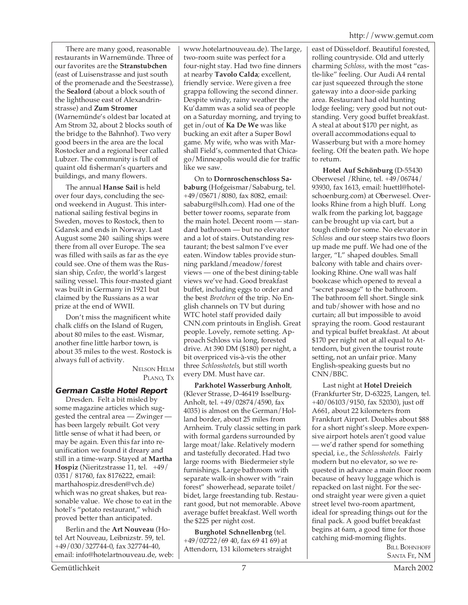There are many good, reasonable restaurants in Warnemünde. Three of our favorites are the **Stranstubchen** (east of Luisenstrasse and just south of the promenade and the Seestrasse), the **Sealord** (about a block south of the lighthouse east of Alexandrinstrasse) and **Zum Stromer** (Warnemünde's oldest bar located at Am Strom 32, about 2 blocks south of the bridge to the Bahnhof). Two very good beers in the area are the local Rostocker and a regional beer called Lubzer. The community is full of quaint old fisherman's quarters and buildings, and many flowers.

The annual **Hanse Sail** is held over four days, concluding the second weekend in August. This international sailing festival begins in Sweden, moves to Rostock, then to Gdansk and ends in Norway. Last August some 240 sailing ships were there from all over Europe. The sea was filled with sails as far as the eye could see. One of them was the Russian ship, *Cedov,* the world's largest sailing vessel. This four-masted giant was built in Germany in 1921 but claimed by the Russians as a war prize at the end of WWII.

Don't miss the magnificent white chalk cliffs on the Island of Rugen, about 80 miles to the east. Wismar, another fine little harbor town, is about 35 miles to the west. Rostock is always full of activity.

> NELSON HELM PLANO, TX

# **German Castle Hotel Report**

Dresden. Felt a bit misled by some magazine articles which suggested the central area — Zwinger has been largely rebuilt. Got very little sense of what it had been, or may be again. Even this far into reunification we found it dreary and still in a time-warp. Stayed at **Martha Hospiz** (Nieritzstrasse 11, tel. +49/ 0351/ 81760, fax 8176222, email: marthahospiz.dresden@vch.de) which was no great shakes, but reasonable value. We chose to eat in the hotel's "potato restaurant," which proved better than anticipated.

Berlin and the **Art Nouveau** (Hotel Art Nouveau, Leibnizstr. 59, tel. +49/030/327744-0, fax 327744-40, email: info@hotelartnouveau.de, web:

www.hotelartnouveau.de). The large, two-room suite was perfect for a four-night stay. Had two fine dinners at nearby **Tavolo Calda**; excellent, friendly service. Were given a free grappa following the second dinner. Despite windy, rainy weather the Ku'damm was a solid sea of people on a Saturday morning, and trying to get in/out of **Ka De We** was like bucking an exit after a Super Bowl game. My wife, who was with Marshall Field's, commented that Chicago/Minneapolis would die for traffic like we saw.

On to **Dornroschenschloss Sababurg** (Hofgeismar/Sababurg, tel. +49/05671/8080, fax 8082, email: sababurg@slh.com). Had one of the better tower rooms, separate from the main hotel. Decent room — standard bathroom — but no elevator and a lot of stairs. Outstanding restaurant; the best salmon I've ever eaten. Window tables provide stunning parkland/meadow/forest views — one of the best dining-table views we've had. Good breakfast buffet, including eggs to order and the best *Brotchen* of the trip. No English channels on TV but during WTC hotel staff provided daily CNN.com printouts in English. Great people. Lovely, remote setting. Approach Schloss via long, forested drive. At 390 DM (\$180) per night, a bit overpriced vis-à-vis the other three *Schlosshotels*, but still worth every DM. Must have car.

**Parkhotel Wasserburg Anholt**, (Klever Strasse, D-46419 Isselburg-Anholt, tel. +49/02874/4590, fax 4035) is almost on the German/Holland border, about 25 miles from Arnheim. Truly classic setting in park with formal gardens surrounded by large moat/lake. Relatively modern and tastefully decorated. Had two large rooms with Biedermeier style furnishings. Large bathroom with separate walk-in shower with "rain forest" showerhead, separate toilet/ bidet, large freestanding tub. Restaurant good, but not memorable. Above average buffet breakfast. Well worth the \$225 per night cost.

**Burghotel Schnellenbrg** (tel. +49/02722/69 40, fax 69 41 69) at Attendorn, 131 kilometers straight east of Düsseldorf. Beautiful forested, rolling countryside. Old and utterly charming *Schloss*, with the most "castle-like" feeling. Our Audi A4 rental car just squeezed through the stone gateway into a door-side parking area. Restaurant had old hunting lodge feeling; very good but not outstanding. Very good buffet breakfast. A steal at about \$170 per night, as overall accommodations equal to Wasserburg but with a more homey feeling. Off the beaten path. We hope to return.

**Hotel Auf Schönburg** (D-55430 Oberwesel /Rhine, tel. +49/06744/ 93930, fax 1613, email: huettl@hotelschoenburg.com) at Oberwesel. Overlooks Rhine from a high bluff. Long walk from the parking lot, baggage can be brought up via cart, but a tough climb for some. No elevator in *Schloss* and our steep stairs two floors up made me puff. We had one of the larger, "L" shaped doubles. Small balcony with table and chairs overlooking Rhine. One wall was half bookcase which opened to reveal a "secret passage" to the bathroom. The bathroom fell short. Single sink and tub/shower with hose and no curtain; all but impossible to avoid spraying the room. Good restaurant and typical buffet breakfast. At about \$170 per night not at all equal to Attendorn, but given the tourist route setting, not an unfair price. Many English-speaking guests but no CNN/BBC.

Last night at **Hotel Dreieich** (Frankfurter Str, D-63225, Langen, tel. +40/06103/9150, fax 52030), just off A661, about 22 kilometers from Frankfurt Airport. Doubles about \$88 for a short night's sleep. More expensive airport hotels aren't good value — we'd rather spend for something special, i.e., the *Schlosshotels*. Fairly modern but no elevator, so we requested in advance a main floor room because of heavy luggage which is repacked on last night. For the second straight year were given a quiet street level two-room apartment, ideal for spreading things out for the final pack. A good buffet breakfast begins at 6am, a good time for those catching mid-morning flights.

BILL BOHNHOFF SANTA FE, NM